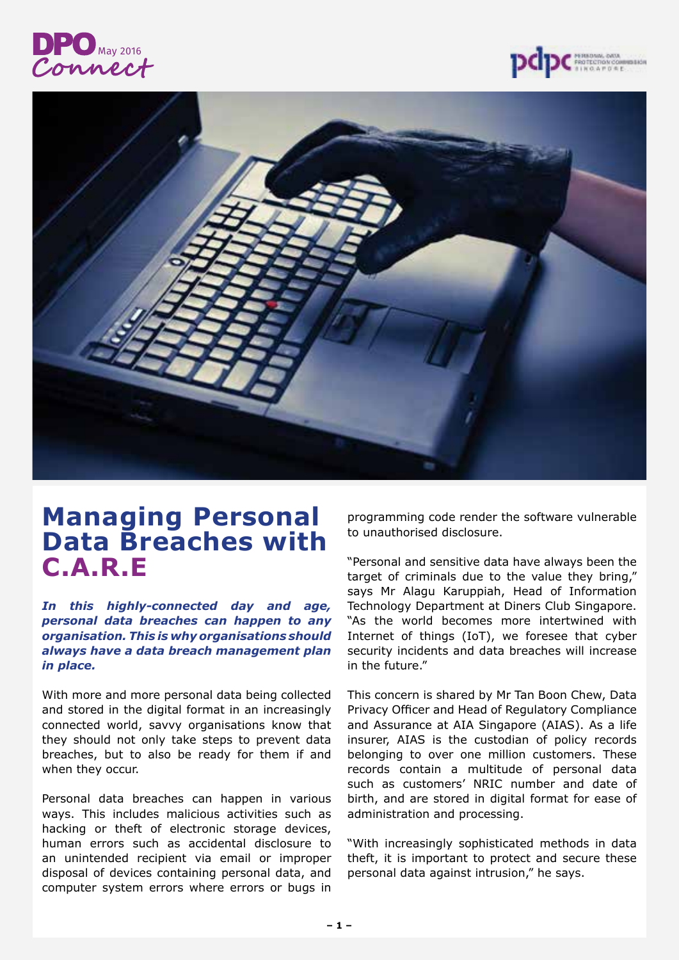





# **Managing Personal Data Breaches with C.A.R.E**

*In this highly-connected day and age, personal data breaches can happen to any organisation. This is why organisations should always have a data breach management plan in place.*

With more and more personal data being collected and stored in the digital format in an increasingly connected world, savvy organisations know that they should not only take steps to prevent data breaches, but to also be ready for them if and when they occur.

Personal data breaches can happen in various ways. This includes malicious activities such as hacking or theft of electronic storage devices, human errors such as accidental disclosure to an unintended recipient via email or improper disposal of devices containing personal data, and computer system errors where errors or bugs in

programming code render the software vulnerable to unauthorised disclosure.

"Personal and sensitive data have always been the target of criminals due to the value they bring," says Mr Alagu Karuppiah, Head of Information Technology Department at Diners Club Singapore. "As the world becomes more intertwined with Internet of things (IoT), we foresee that cyber security incidents and data breaches will increase in the future."

This concern is shared by Mr Tan Boon Chew, Data Privacy Officer and Head of Regulatory Compliance and Assurance at AIA Singapore (AIAS). As a life insurer, AIAS is the custodian of policy records belonging to over one million customers. These records contain a multitude of personal data such as customers' NRIC number and date of birth, and are stored in digital format for ease of administration and processing.

"With increasingly sophisticated methods in data theft, it is important to protect and secure these personal data against intrusion," he says.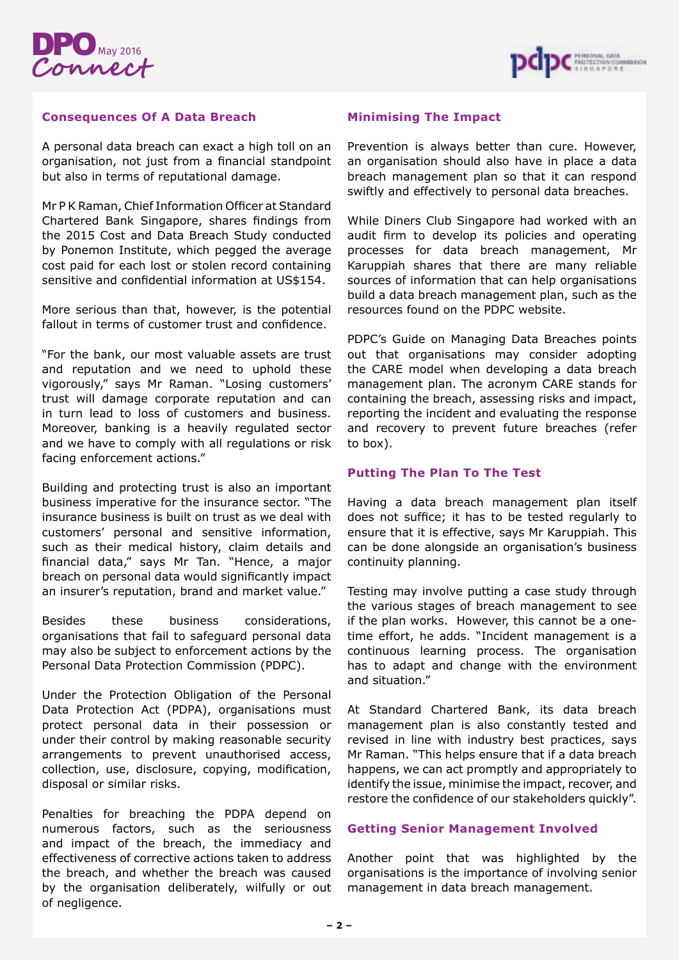



### **Consequences Of A Data Breach**

A personal data breach can exact a high toll on an organisation, not just from a financial standpoint but also in terms of reputational damage.

Mr P K Raman, Chief Information Officer at Standard Chartered Bank Singapore, shares findings from the 2015 Cost and Data Breach Study conducted by Ponemon Institute, which pegged the average cost paid for each lost or stolen record containing sensitive and confidential information at US\$154.

More serious than that, however, is the potential fallout in terms of customer trust and confidence.

"For the bank, our most valuable assets are trust and reputation and we need to uphold these vigorously," says Mr Raman. "Losing customers' trust will damage corporate reputation and can in turn lead to loss of customers and business. Moreover, banking is a heavily regulated sector and we have to comply with all regulations or risk facing enforcement actions."

Building and protecting trust is also an important business imperative for the insurance sector. "The insurance business is built on trust as we deal with customers' personal and sensitive information, such as their medical history, claim details and financial data," says Mr Tan. "Hence, a major breach on personal data would significantly impact an insurer's reputation, brand and market value."

Besides these business considerations, organisations that fail to safeguard personal data may also be subject to enforcement actions by the Personal Data Protection Commission (PDPC).

Under the Protection Obligation of the Personal Data Protection Act (PDPA), organisations must protect personal data in their possession or under their control by making reasonable security arrangements to prevent unauthorised access, collection, use, disclosure, copying, modification, disposal or similar risks.

Penalties for breaching the PDPA depend on numerous factors, such as the seriousness and impact of the breach, the immediacy and effectiveness of corrective actions taken to address the breach, and whether the breach was caused by the organisation deliberately, wilfully or out of negligence.

## **Minimising The Impact**

Prevention is always better than cure. However, an organisation should also have in place a data breach management plan so that it can respond swiftly and effectively to personal data breaches.

While Diners Club Singapore had worked with an audit firm to develop its policies and operating processes for data breach management, Mr Karuppiah shares that there are many reliable sources of information that can help organisations build a data breach management plan, such as the resources found on the PDPC website.

PDPC's Guide on Managing Data Breaches points out that organisations may consider adopting the CARE model when developing a data breach management plan. The acronym CARE stands for containing the breach, assessing risks and impact, reporting the incident and evaluating the response and recovery to prevent future breaches (refer to box).

# **Putting The Plan To The Test**

Having a data breach management plan itself does not suffice; it has to be tested regularly to ensure that it is effective, says Mr Karuppiah. This can be done alongside an organisation's business continuity planning.

Testing may involve putting a case study through the various stages of breach management to see if the plan works. However, this cannot be a onetime effort, he adds. "Incident management is a continuous learning process. The organisation has to adapt and change with the environment and situation."

At Standard Chartered Bank, its data breach management plan is also constantly tested and revised in line with industry best practices, says Mr Raman. "This helps ensure that if a data breach happens, we can act promptly and appropriately to identify the issue, minimise the impact, recover, and restore the confidence of our stakeholders quickly".

## **Getting Senior Management Involved**

Another point that was highlighted by the organisations is the importance of involving senior management in data breach management.